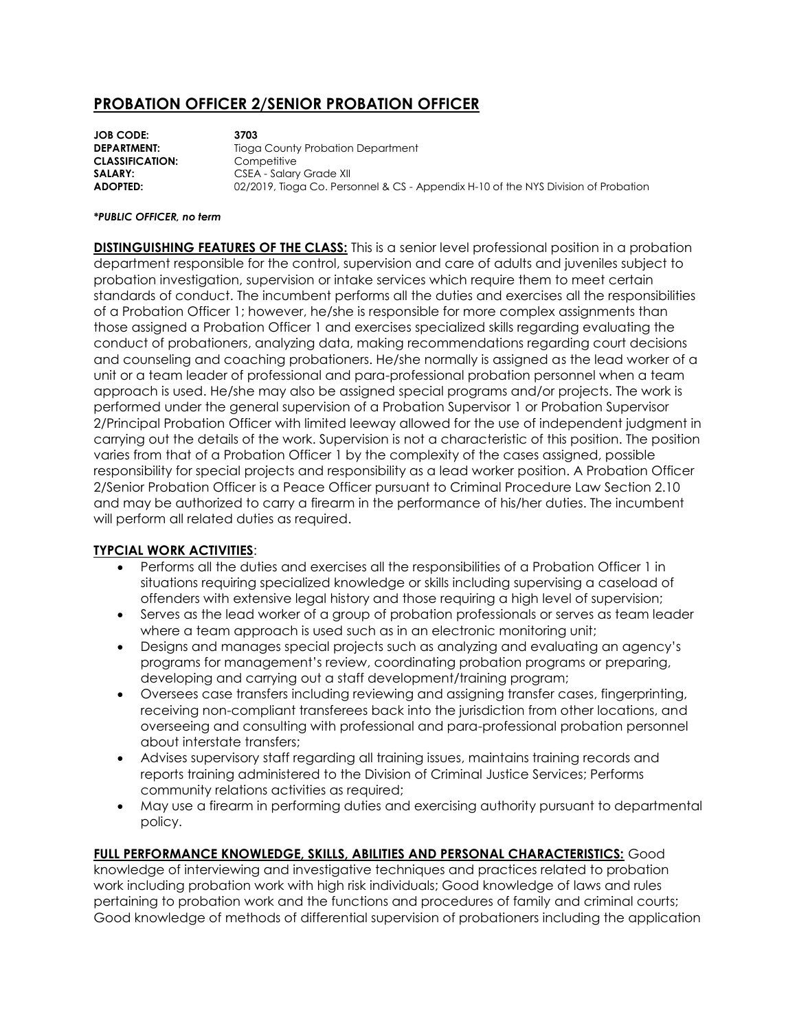## **PROBATION OFFICER 2/SENIOR PROBATION OFFICER**

**JOB CODE: 3703 DEPARTMENT:** Tioga County Probation Department **CLASSIFICATION:** Competitive **SALARY:** CSEA - Salary Grade XII **ADOPTED:** 02/2019, Tioga Co. Personnel & CS - Appendix H-10 of the NYS Division of Probation

## *\*PUBLIC OFFICER, no term*

**DISTINGUISHING FEATURES OF THE CLASS:** This is a senior level professional position in a probation department responsible for the control, supervision and care of adults and juveniles subject to probation investigation, supervision or intake services which require them to meet certain standards of conduct. The incumbent performs all the duties and exercises all the responsibilities of a Probation Officer 1; however, he/she is responsible for more complex assignments than those assigned a Probation Officer 1 and exercises specialized skills regarding evaluating the conduct of probationers, analyzing data, making recommendations regarding court decisions and counseling and coaching probationers. He/she normally is assigned as the lead worker of a unit or a team leader of professional and para-professional probation personnel when a team approach is used. He/she may also be assigned special programs and/or projects. The work is performed under the general supervision of a Probation Supervisor 1 or Probation Supervisor 2/Principal Probation Officer with limited leeway allowed for the use of independent judgment in carrying out the details of the work. Supervision is not a characteristic of this position. The position varies from that of a Probation Officer 1 by the complexity of the cases assigned, possible responsibility for special projects and responsibility as a lead worker position. A Probation Officer 2/Senior Probation Officer is a Peace Officer pursuant to Criminal Procedure Law Section 2.10 and may be authorized to carry a firearm in the performance of his/her duties. The incumbent will perform all related duties as required.

## **TYPCIAL WORK ACTIVITIES**:

- Performs all the duties and exercises all the responsibilities of a Probation Officer 1 in situations requiring specialized knowledge or skills including supervising a caseload of offenders with extensive legal history and those requiring a high level of supervision;
- Serves as the lead worker of a group of probation professionals or serves as team leader where a team approach is used such as in an electronic monitoring unit;
- Designs and manages special projects such as analyzing and evaluating an agency's programs for management's review, coordinating probation programs or preparing, developing and carrying out a staff development/training program;
- Oversees case transfers including reviewing and assigning transfer cases, fingerprinting, receiving non-compliant transferees back into the jurisdiction from other locations, and overseeing and consulting with professional and para-professional probation personnel about interstate transfers;
- Advises supervisory staff regarding all training issues, maintains training records and reports training administered to the Division of Criminal Justice Services; Performs community relations activities as required;
- May use a firearm in performing duties and exercising authority pursuant to departmental policy.

## **FULL PERFORMANCE KNOWLEDGE, SKILLS, ABILITIES AND PERSONAL CHARACTERISTICS:** Good

knowledge of interviewing and investigative techniques and practices related to probation work including probation work with high risk individuals; Good knowledge of laws and rules pertaining to probation work and the functions and procedures of family and criminal courts; Good knowledge of methods of differential supervision of probationers including the application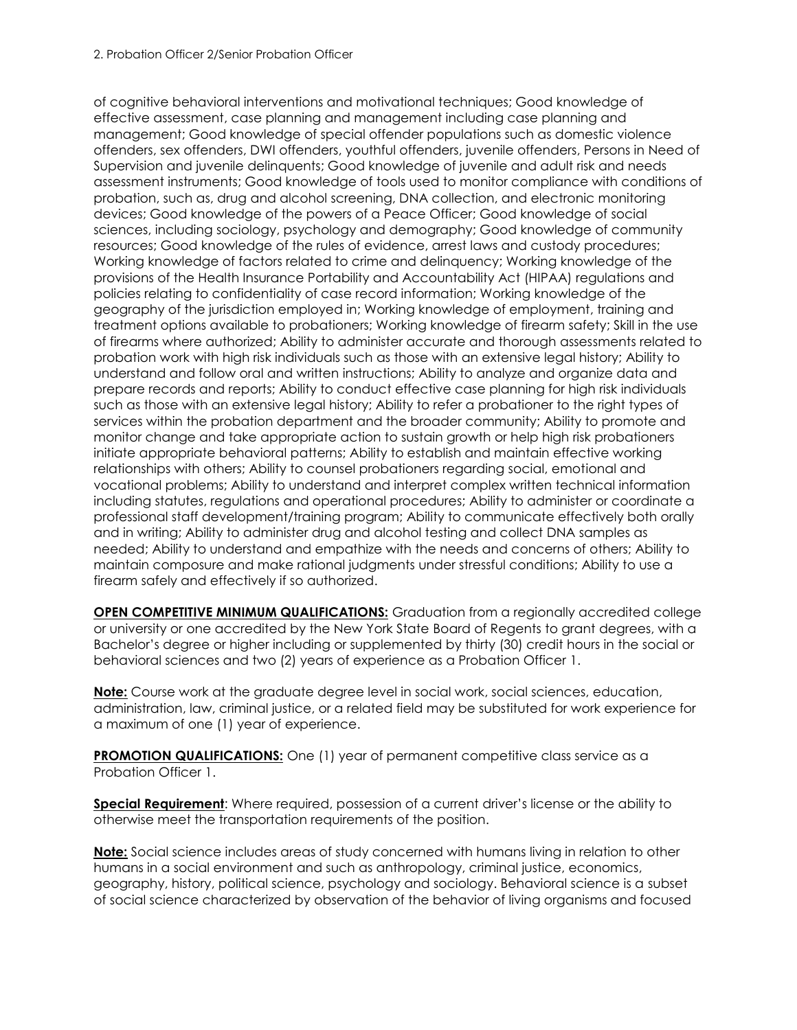of cognitive behavioral interventions and motivational techniques; Good knowledge of effective assessment, case planning and management including case planning and management; Good knowledge of special offender populations such as domestic violence offenders, sex offenders, DWI offenders, youthful offenders, juvenile offenders, Persons in Need of Supervision and juvenile delinquents; Good knowledge of juvenile and adult risk and needs assessment instruments; Good knowledge of tools used to monitor compliance with conditions of probation, such as, drug and alcohol screening, DNA collection, and electronic monitoring devices; Good knowledge of the powers of a Peace Officer; Good knowledge of social sciences, including sociology, psychology and demography; Good knowledge of community resources; Good knowledge of the rules of evidence, arrest laws and custody procedures; Working knowledge of factors related to crime and delinquency; Working knowledge of the provisions of the Health Insurance Portability and Accountability Act (HIPAA) regulations and policies relating to confidentiality of case record information; Working knowledge of the geography of the jurisdiction employed in; Working knowledge of employment, training and treatment options available to probationers; Working knowledge of firearm safety; Skill in the use of firearms where authorized; Ability to administer accurate and thorough assessments related to probation work with high risk individuals such as those with an extensive legal history; Ability to understand and follow oral and written instructions; Ability to analyze and organize data and prepare records and reports; Ability to conduct effective case planning for high risk individuals such as those with an extensive legal history; Ability to refer a probationer to the right types of services within the probation department and the broader community; Ability to promote and monitor change and take appropriate action to sustain growth or help high risk probationers initiate appropriate behavioral patterns; Ability to establish and maintain effective working relationships with others; Ability to counsel probationers regarding social, emotional and vocational problems; Ability to understand and interpret complex written technical information including statutes, regulations and operational procedures; Ability to administer or coordinate a professional staff development/training program; Ability to communicate effectively both orally and in writing; Ability to administer drug and alcohol testing and collect DNA samples as needed; Ability to understand and empathize with the needs and concerns of others; Ability to maintain composure and make rational judgments under stressful conditions; Ability to use a firearm safely and effectively if so authorized.

**OPEN COMPETITIVE MINIMUM QUALIFICATIONS:** Graduation from a regionally accredited college or university or one accredited by the New York State Board of Regents to grant degrees, with a Bachelor's degree or higher including or supplemented by thirty (30) credit hours in the social or behavioral sciences and two (2) years of experience as a Probation Officer 1.

**Note:** Course work at the graduate degree level in social work, social sciences, education, administration, law, criminal justice, or a related field may be substituted for work experience for a maximum of one (1) year of experience.

**PROMOTION QUALIFICATIONS:** One (1) year of permanent competitive class service as a Probation Officer 1.

**Special Requirement**: Where required, possession of a current driver's license or the ability to otherwise meet the transportation requirements of the position.

**Note:** Social science includes areas of study concerned with humans living in relation to other humans in a social environment and such as anthropology, criminal justice, economics, geography, history, political science, psychology and sociology. Behavioral science is a subset of social science characterized by observation of the behavior of living organisms and focused